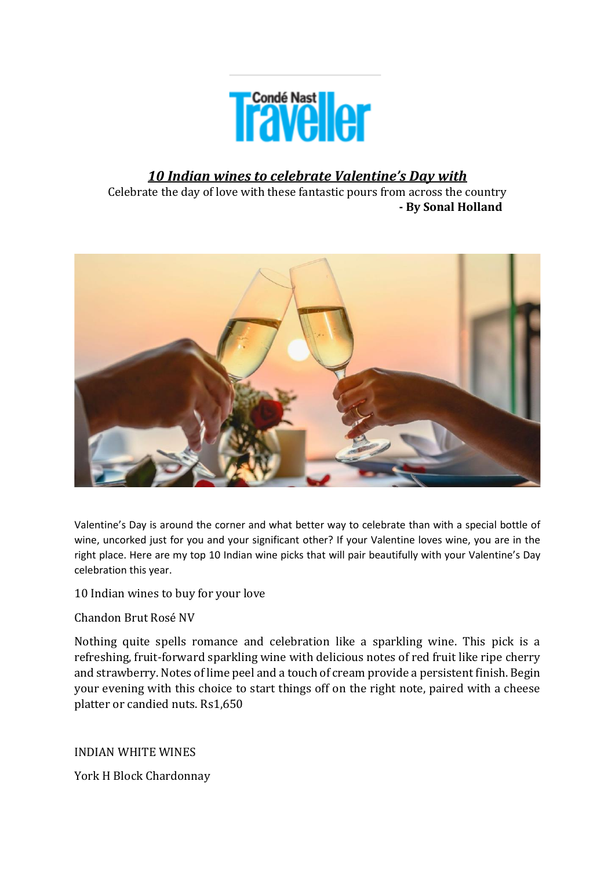

# *10 Indian wines to celebrate Valentine's Day with*

Celebrate the day of love with these fantastic pours from across the country  **- By Sonal Holland** 



Valentine's Day is around the corner and what better way to celebrate than with a special bottle of wine, uncorked just for you and your significant other? If your Valentine loves wine, you are in the right place. Here are my top 10 Indian wine picks that will pair beautifully with your Valentine's Day celebration this year.

10 Indian wines to buy for your love

Chandon Brut Rosé NV

Nothing quite spells romance and celebration like a sparkling wine. This pick is a refreshing, fruit-forward sparkling wine with delicious notes of red fruit like ripe cherry and strawberry. Notes of lime peel and a touch of cream provide a persistent finish. Begin your evening with this choice to start things off on the right note, paired with a cheese platter or candied nuts. Rs1,650

INDIAN WHITE WINES

York H Block Chardonnay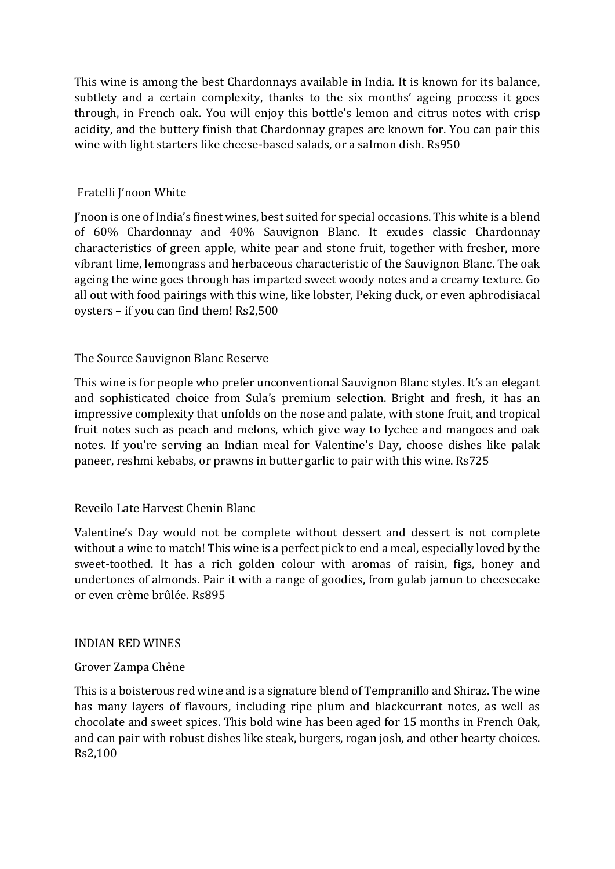This wine is among the best Chardonnays available in India. It is known for its balance, subtlety and a certain complexity, thanks to the six months' ageing process it goes through, in French oak. You will enjoy this bottle's lemon and citrus notes with crisp acidity, and the buttery finish that Chardonnay grapes are known for. You can pair this wine with light starters like cheese-based salads, or a salmon dish. Rs950

## Fratelli J'noon White

J'noon is one of India's finest wines, best suited for special occasions. This white is a blend of 60% Chardonnay and 40% Sauvignon Blanc. It exudes classic Chardonnay characteristics of green apple, white pear and stone fruit, together with fresher, more vibrant lime, lemongrass and herbaceous characteristic of the Sauvignon Blanc. The oak ageing the wine goes through has imparted sweet woody notes and a creamy texture. Go all out with food pairings with this wine, like lobster, Peking duck, or even aphrodisiacal oysters – if you can find them! Rs2,500

### The Source Sauvignon Blanc Reserve

This wine is for people who prefer unconventional Sauvignon Blanc styles. It's an elegant and sophisticated choice from Sula's premium selection. Bright and fresh, it has an impressive complexity that unfolds on the nose and palate, with stone fruit, and tropical fruit notes such as peach and melons, which give way to lychee and mangoes and oak notes. If you're serving an Indian meal for Valentine's Day, choose dishes like palak paneer, reshmi kebabs, or prawns in butter garlic to pair with this wine. Rs725

### Reveilo Late Harvest Chenin Blanc

Valentine's Day would not be complete without dessert and dessert is not complete without a wine to match! This wine is a perfect pick to end a meal, especially loved by the sweet-toothed. It has a rich golden colour with aromas of raisin, figs, honey and undertones of almonds. Pair it with a range of goodies, from gulab jamun to cheesecake or even crème brûlée. Rs895

#### INDIAN RED WINES

#### Grover Zampa Chêne

This is a boisterous red wine and is a signature blend of Tempranillo and Shiraz. The wine has many layers of flavours, including ripe plum and blackcurrant notes, as well as chocolate and sweet spices. This bold wine has been aged for 15 months in French Oak, and can pair with robust dishes like steak, burgers, rogan josh, and other hearty choices. Rs2,100